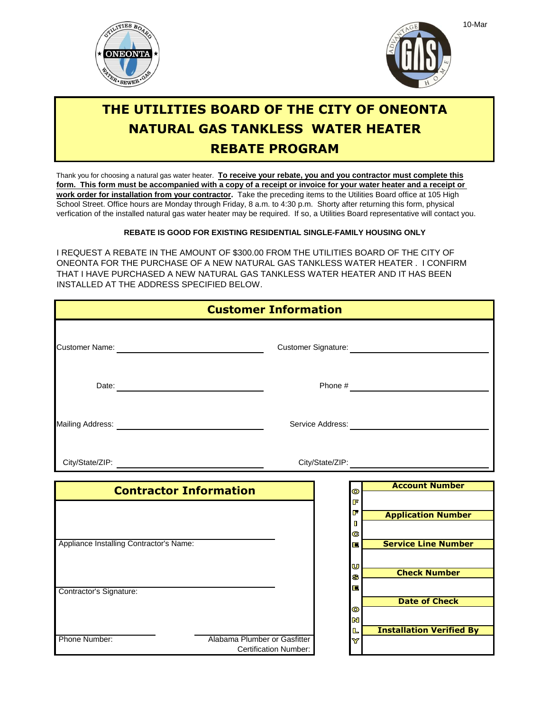



## **REBATE PROGRAM THE UTILITIES BOARD OF THE CITY OF ONEONTA NATURAL GAS TANKLESS WATER HEATER**

School Street. Office hours are Monday through Friday, 8 a.m. to 4:30 p.m. Shorty after returning this form, physical Thank you for choosing a natural gas water heater. **To receive your rebate, you and you contractor must complete this** verfication of the installed natural gas water heater may be required. If so, a Utilities Board representative will contact you. **work order for installation from your contractor.** Take the preceding items to the Utilities Board office at 105 High **form. This form must be accompanied with a copy of a receipt or invoice for your water heater and a receipt or** 

## **REBATE IS GOOD FOR EXISTING RESIDENTIAL SINGLE-FAMILY HOUSING ONLY**

I REQUEST A REBATE IN THE AMOUNT OF \$300.00 FROM THE UTILITIES BOARD OF THE CITY OF ONEONTA FOR THE PURCHASE OF A NEW NATURAL GAS TANKLESS WATER HEATER . I CONFIRM THAT I HAVE PURCHASED A NEW NATURAL GAS TANKLESS WATER HEATER AND IT HAS BEEN INSTALLED AT THE ADDRESS SPECIFIED BELOW.

| <b>Customer Information</b>             |                               |                       |                             |                                                    |
|-----------------------------------------|-------------------------------|-----------------------|-----------------------------|----------------------------------------------------|
|                                         |                               |                       |                             | Customer Signature:<br><u> Customer Signature:</u> |
|                                         |                               |                       |                             |                                                    |
|                                         |                               |                       |                             |                                                    |
|                                         |                               |                       |                             |                                                    |
|                                         | <b>Contractor Information</b> |                       | $\bullet$<br>F              | <b>Account Number</b>                              |
|                                         |                               |                       | F<br>П<br>G                 | <b>Application Number</b>                          |
| Appliance Installing Contractor's Name: |                               |                       | 扈                           | <b>Service Line Number</b>                         |
| Contractor's Signature:                 |                               |                       | U<br>S<br>E                 | <b>Check Number</b>                                |
|                                         |                               |                       | $\bullet$<br>$\blacksquare$ | <b>Date of Check</b>                               |
| Phone Number:                           | Alabama Plumber or Gasfitter  | Certification Number: | $\mathbb L$<br>Y            | <b>Installation Verified By</b>                    |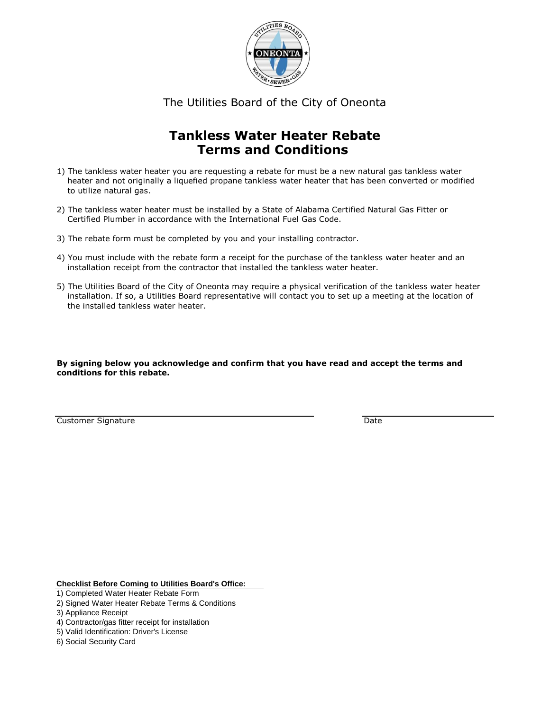

The Utilities Board of the City of Oneonta

## **Tankless Water Heater Rebate Terms and Conditions**

- 1) The tankless water heater you are requesting a rebate for must be a new natural gas tankless water heater and not originally a liquefied propane tankless water heater that has been converted or modified to utilize natural gas.
- 2) The tankless water heater must be installed by a State of Alabama Certified Natural Gas Fitter or Certified Plumber in accordance with the International Fuel Gas Code.
- 3) The rebate form must be completed by you and your installing contractor.
- 4) You must include with the rebate form a receipt for the purchase of the tankless water heater and an installation receipt from the contractor that installed the tankless water heater.
- installation. If so, a Utilities Board representative will contact you to set up a meeting at the location of the installed tankless water heater. 5) The Utilities Board of the City of Oneonta may require a physical verification of the tankless water heater

**By signing below you acknowledge and confirm that you have read and accept the terms and conditions for this rebate.**

**Customer Signature Customer Signature Customer Signature Customer Signature Customer Signature Customer Signature** 

**Checklist Before Coming to Utilities Board's Office:**

- 1) Completed Water Heater Rebate Form
- 2) Signed Water Heater Rebate Terms & Conditions
- 3) Appliance Receipt
- 4) Contractor/gas fitter receipt for installation
- 5) Valid Identification: Driver's License
- 6) Social Security Card